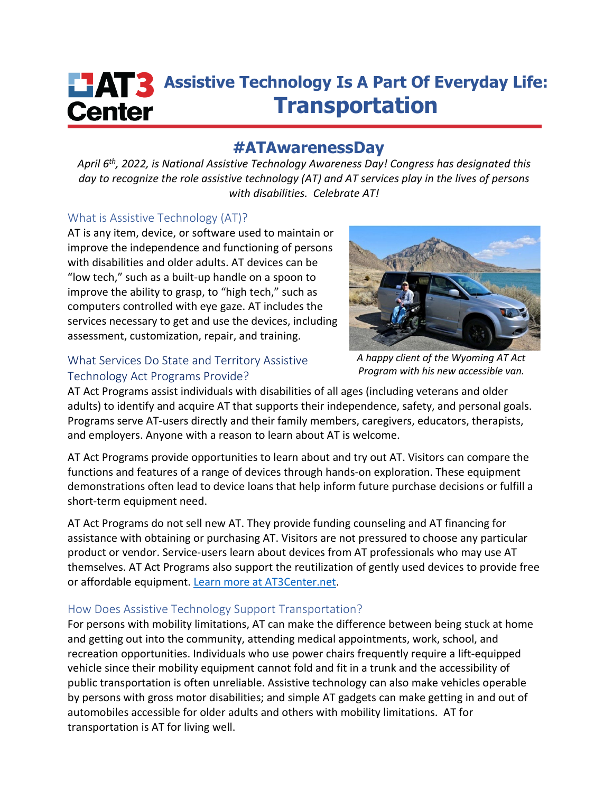# **ASSISTED ASSISTED ASSISTED ASSISTED ASSISTED ASSISTED ASSISTED ASSISTED ASSISTED ASSAULTED ASSAULTED ASSAULTED Transportation Center**

## **#ATAwarenessDay**

*April 6th, 2022, is National Assistive Technology Awareness Day! Congress has designated this day to recognize the role assistive technology (AT) and AT services play in the lives of persons with disabilities. Celebrate AT!*

#### What is Assistive Technology (AT)?

AT is any item, device, or software used to maintain or improve the independence and functioning of persons with disabilities and older adults. AT devices can be "low tech," such as a built-up handle on a spoon to improve the ability to grasp, to "high tech," such as computers controlled with eye gaze. AT includes the services necessary to get and use the devices, including assessment, customization, repair, and training.

### What Services Do State and Territory Assistive Technology Act Programs Provide?

*A happy client of the Wyoming AT Act Program with his new accessible van.*

AT Act Programs assist individuals with disabilities of all ages (including veterans and older adults) to identify and acquire AT that supports their independence, safety, and personal goals. Programs serve AT-users directly and their family members, caregivers, educators, therapists, and employers. Anyone with a reason to learn about AT is welcome.

AT Act Programs provide opportunities to learn about and try out AT. Visitors can compare the functions and features of a range of devices through hands-on exploration. These equipment demonstrations often lead to device loans that help inform future purchase decisions or fulfill a short-term equipment need.

AT Act Programs do not sell new AT. They provide funding counseling and AT financing for assistance with obtaining or purchasing AT. Visitors are not pressured to choose any particular product or vendor. Service-users learn about devices from AT professionals who may use AT themselves. AT Act Programs also support the reutilization of gently used devices to provide free or affordable equipment. [Learn more at AT3Center.net.](https://at3center.net/)

### How Does Assistive Technology Support Transportation?

For persons with mobility limitations, AT can make the difference between being stuck at home and getting out into the community, attending medical appointments, work, school, and recreation opportunities. Individuals who use power chairs frequently require a lift-equipped vehicle since their mobility equipment cannot fold and fit in a trunk and the accessibility of public transportation is often unreliable. Assistive technology can also make vehicles operable by persons with gross motor disabilities; and simple AT gadgets can make getting in and out of automobiles accessible for older adults and others with mobility limitations. AT for transportation is AT for living well.